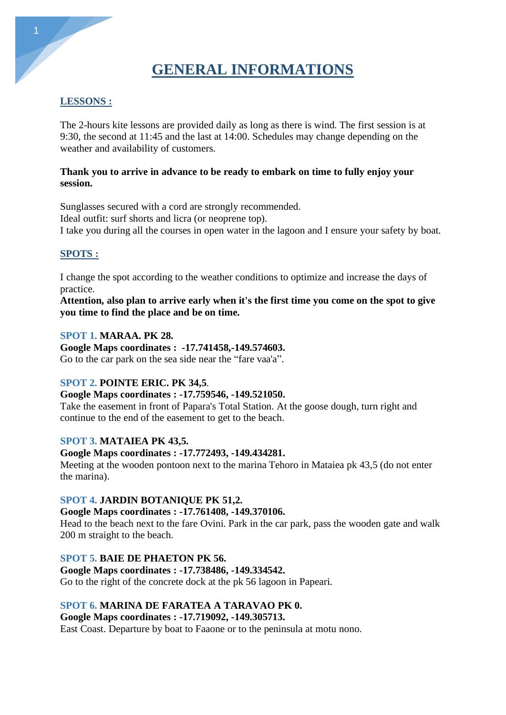# **GENERAL INFORMATIONS**

# **LESSONS :**

The 2-hours kite lessons are provided daily as long as there is wind. The first session is at 9:30, the second at 11:45 and the last at 14:00. Schedules may change depending on the weather and availability of customers.

### **Thank you to arrive in advance to be ready to embark on time to fully enjoy your session.**

Sunglasses secured with a cord are strongly recommended. Ideal outfit: surf shorts and licra (or neoprene top). I take you during all the courses in open water in the lagoon and I ensure your safety by boat.

## **SPOTS :**

I change the spot according to the weather conditions to optimize and increase the days of practice.

**Attention, also plan to arrive early when it's the first time you come on the spot to give you time to find the place and be on time.**

### **SPOT 1. MARAA. PK 28.**

**Google Maps coordinates : -17.741458,-149.574603.** Go to the car park on the sea side near the "fare vaa'a".

## **SPOT 2. POINTE ERIC. PK 34,5**.

## **Google Maps coordinates : -17.759546, -149.521050.**

Take the easement in front of Papara's Total Station. At the goose dough, turn right and continue to the end of the easement to get to the beach.

## **SPOT 3. MATAIEA PK 43,5.**

## **Google Maps coordinates : -17.772493, -149.434281.**

Meeting at the wooden pontoon next to the marina Tehoro in Mataiea pk 43,5 (do not enter the marina).

## **SPOT 4. JARDIN BOTANIQUE PK 51,2.**

## **Google Maps coordinates : -17.761408, -149.370106.**

Head to the beach next to the fare Ovini. Park in the car park, pass the wooden gate and walk 200 m straight to the beach.

## **SPOT 5. BAIE DE PHAETON PK 56.**

## **Google Maps coordinates : -17.738486, -149.334542.**

Go to the right of the concrete dock at the pk 56 lagoon in Papeari.

## **SPOT 6. MARINA DE FARATEA A TARAVAO PK 0.**

**Google Maps coordinates : -17.719092, -149.305713.**

East Coast. Departure by boat to Faaone or to the peninsula at motu nono.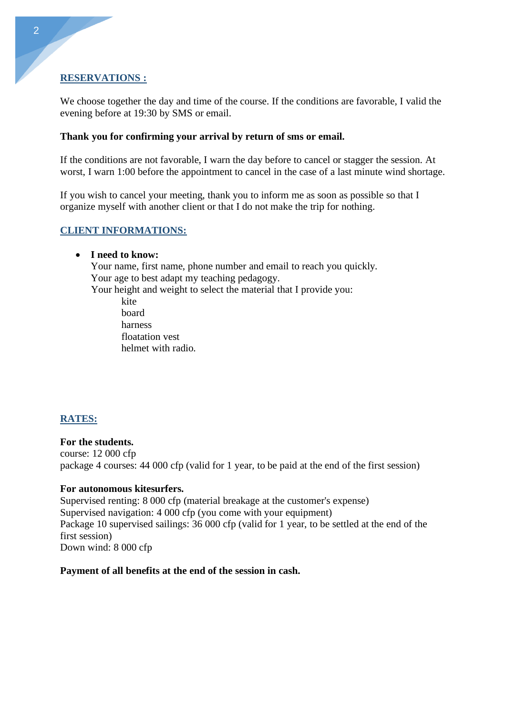#### **RESERVATIONS :**

We choose together the day and time of the course. If the conditions are favorable, I valid the evening before at 19:30 by SMS or email.

#### **Thank you for confirming your arrival by return of sms or email.**

If the conditions are not favorable, I warn the day before to cancel or stagger the session. At worst, I warn 1:00 before the appointment to cancel in the case of a last minute wind shortage.

If you wish to cancel your meeting, thank you to inform me as soon as possible so that I organize myself with another client or that I do not make the trip for nothing.

#### **CLIENT INFORMATIONS:**

#### • **I need to know:**

Your name, first name, phone number and email to reach you quickly. Your age to best adapt my teaching pedagogy. Your height and weight to select the material that I provide you: kite board

harness floatation vest helmet with radio.

#### **RATES:**

**For the students.** course: 12 000 cfp package 4 courses: 44 000 cfp (valid for 1 year, to be paid at the end of the first session)

#### **For autonomous kitesurfers.**

Supervised renting: 8 000 cfp (material breakage at the customer's expense) Supervised navigation: 4 000 cfp (you come with your equipment) Package 10 supervised sailings: 36 000 cfp (valid for 1 year, to be settled at the end of the first session) Down wind: 8 000 cfp

#### **Payment of all benefits at the end of the session in cash.**